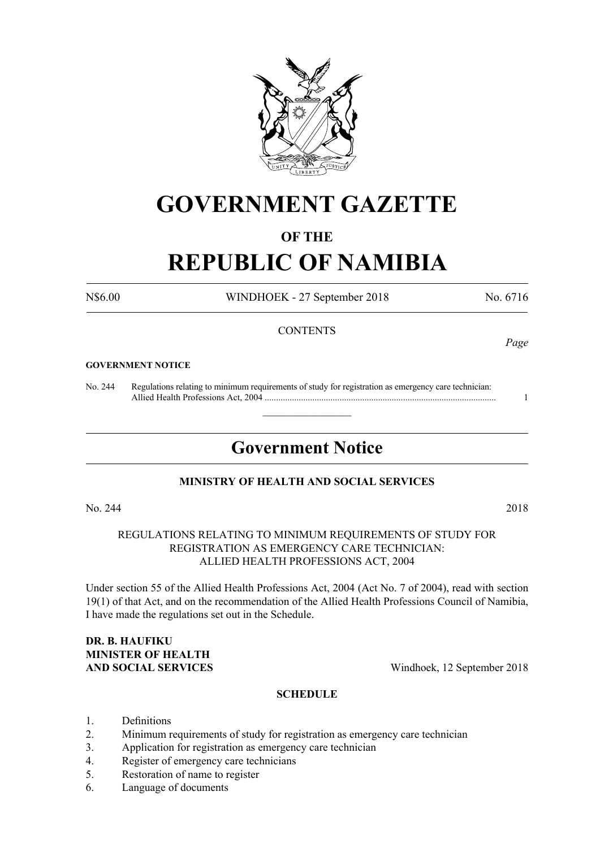

## **GOVERNMENT GAZETTE**

#### **OF THE**

# **REPUBLIC OF NAMIBIA**

N\$6.00 WINDHOEK - 27 September 2018 No. 6716

*Page*

#### **CONTENTS**

#### **GOVERNMENT NOTICE**

No. 244 Regulations relating to minimum requirements of study for registration as emergency care technician: Allied Health Professions Act, 2004 ...................................................................................................... 1

### **Government Notice**

 $\overline{\phantom{a}}$  , where  $\overline{\phantom{a}}$ 

#### **MINISTRY OF HEALTH AND SOCIAL SERVICES**

No. 244 2018

REGULATIONS RELATING TO MINIMUM REQUIREMENTS OF STUDY FOR REGISTRATION AS EMERGENCY CARE TECHNICIAN: ALLIED HEALTH PROFESSIONS ACT, 2004

Under section 55 of the Allied Health Professions Act, 2004 (Act No. 7 of 2004), read with section 19(1) of that Act, and on the recommendation of the Allied Health Professions Council of Namibia, I have made the regulations set out in the Schedule.

## **dr. B. HAUFIKU MINISTER OF HEALTH**

**AND SOCIAL SERVICES** Windhoek, 12 September 2018

#### **SCHEDULE**

- 1. Definitions
- 2. Minimum requirements of study for registration as emergency care technician
- 3. Application for registration as emergency care technician
- 4. Register of emergency care technicians
- 5. Restoration of name to register
- 6. Language of documents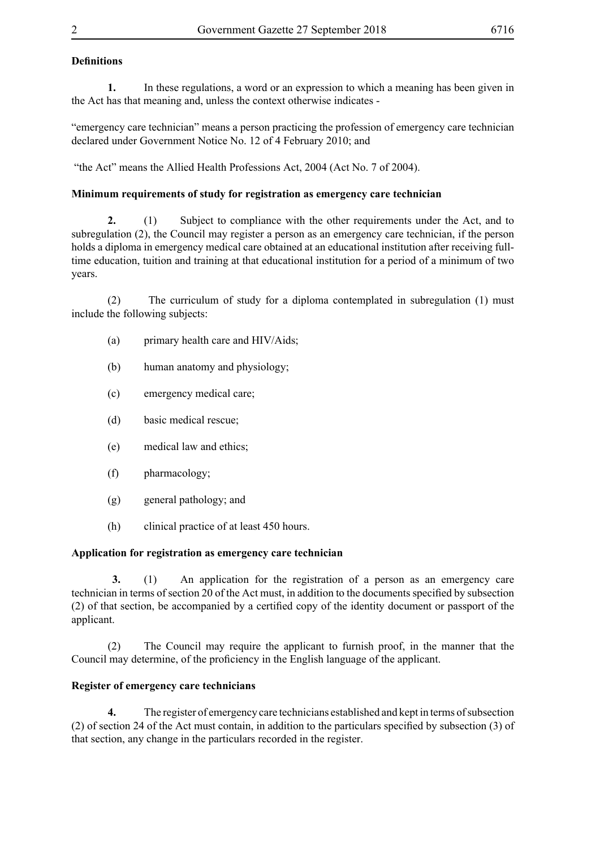#### **Definitions**

**1.** In these regulations, a word or an expression to which a meaning has been given in the Act has that meaning and, unless the context otherwise indicates -

"emergency care technician" means a person practicing the profession of emergency care technician declared under Government Notice No. 12 of 4 February 2010; and

"the Act" means the Allied Health Professions Act, 2004 (Act No. 7 of 2004).

#### **Minimum requirements of study for registration as emergency care technician**

**2.** (1) Subject to compliance with the other requirements under the Act, and to subregulation (2), the Council may register a person as an emergency care technician, if the person holds a diploma in emergency medical care obtained at an educational institution after receiving fulltime education, tuition and training at that educational institution for a period of a minimum of two years.

(2) The curriculum of study for a diploma contemplated in subregulation (1) must include the following subjects:

- (a) primary health care and HIV/Aids;
- (b) human anatomy and physiology;
- (c) emergency medical care;
- (d) basic medical rescue;
- (e) medical law and ethics;
- (f) pharmacology;
- (g) general pathology; and
- (h) clinical practice of at least 450 hours.

#### **Application for registration as emergency care technician**

**3.** (1) An application for the registration of a person as an emergency care technician in terms of section 20 of the Act must, in addition to the documents specified by subsection (2) of that section, be accompanied by a certified copy of the identity document or passport of the applicant.

 (2) The Council may require the applicant to furnish proof, in the manner that the Council may determine, of the proficiency in the English language of the applicant.

#### **Register of emergency care technicians**

**4.** The register of emergency care technicians established and kept in terms of subsection (2) of section 24 of the Act must contain, in addition to the particulars specified by subsection (3) of that section, any change in the particulars recorded in the register.